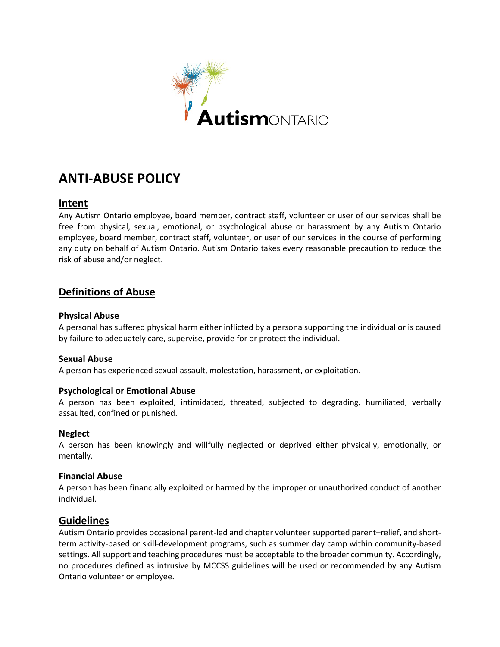

# **ANTI-ABUSE POLICY**

## **Intent**

Any Autism Ontario employee, board member, contract staff, volunteer or user of our services shall be free from physical, sexual, emotional, or psychological abuse or harassment by any Autism Ontario employee, board member, contract staff, volunteer, or user of our services in the course of performing any duty on behalf of Autism Ontario. Autism Ontario takes every reasonable precaution to reduce the risk of abuse and/or neglect.

# **Definitions of Abuse**

#### **Physical Abuse**

A personal has suffered physical harm either inflicted by a persona supporting the individual or is caused by failure to adequately care, supervise, provide for or protect the individual.

#### **Sexual Abuse**

A person has experienced sexual assault, molestation, harassment, or exploitation. 

#### **Psychological or Emotional Abuse**

A person has been exploited, intimidated, threated, subjected to degrading, humiliated, verbally assaulted, confined or punished.

#### **Neglect**

A person has been knowingly and willfully neglected or deprived either physically, emotionally, or mentally.

#### **Financial Abuse**

A person has been financially exploited or harmed by the improper or unauthorized conduct of another individual.

## **Guidelines**

Autism Ontario provides occasional parent-led and chapter volunteer supported parent–relief, and shortterm activity-based or skill-development programs, such as summer day camp within community-based settings. All support and teaching procedures must be acceptable to the broader community. Accordingly, no procedures defined as intrusive by MCCSS guidelines will be used or recommended by any Autism Ontario volunteer or employee.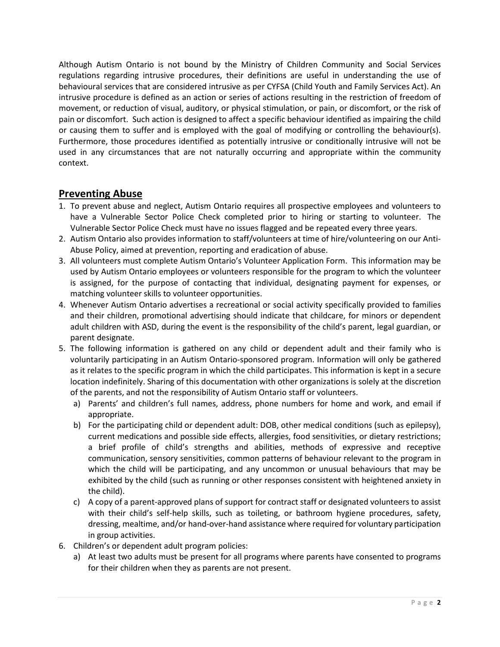Although Autism Ontario is not bound by the Ministry of Children Community and Social Services regulations regarding intrusive procedures, their definitions are useful in understanding the use of behavioural services that are considered intrusive as per CYFSA (Child Youth and Family Services Act). An intrusive procedure is defined as an action or series of actions resulting in the restriction of freedom of movement, or reduction of visual, auditory, or physical stimulation, or pain, or discomfort, or the risk of pain or discomfort.  Such action is designed to affect a specific behaviour identified as impairing the child or causing them to suffer and is employed with the goal of modifying or controlling the behaviour(s). Furthermore, those procedures identified as potentially intrusive or conditionally intrusive will not be used in any circumstances that are not naturally occurring and appropriate within the community context.  

# **Preventing Abuse**

- 1. To prevent abuse and neglect, Autism Ontario requires all prospective employees and volunteers to have a Vulnerable Sector Police Check completed prior to hiring or starting to volunteer.  The Vulnerable Sector Police Check must have no issues flagged and be repeated every three years.
- 2. Autism Ontario also provides information to staff/volunteers at time of hire/volunteering on our Anti-Abuse Policy, aimed at prevention, reporting and eradication of abuse.
- 3. All volunteers must complete Autism Ontario's Volunteer Application Form.  This information may be used by Autism Ontario employees or volunteers responsible for the program to which the volunteer is assigned, for the purpose of contacting that individual, designating payment for expenses, or matching volunteer skills to volunteer opportunities.
- 4. Whenever Autism Ontario advertises a recreational or social activity specifically provided to families and their children, promotional advertising should indicate that childcare, for minors or dependent adult children with ASD, during the event is the responsibility of the child's parent, legal guardian, or parent designate.
- 5. The following information is gathered on any child or dependent adult and their family who is voluntarily participating in an Autism Ontario-sponsored program. Information will only be gathered as it relates to the specific program in which the child participates. This information is kept in a secure location indefinitely. Sharing of this documentation with other organizations is solely at the discretion of the parents, and not the responsibility of Autism Ontario staff or volunteers.
	- a) Parents' and children's full names, address, phone numbers for home and work, and email if appropriate.
	- b) For the participating child or dependent adult: DOB, other medical conditions (such as epilepsy), current medications and possible side effects, allergies, food sensitivities, or dietary restrictions; a brief profile of child's strengths and abilities, methods of expressive and receptive communication, sensory sensitivities, common patterns of behaviour relevant to the program in which the child will be participating, and any uncommon or unusual behaviours that may be exhibited by the child (such as running or other responses consistent with heightened anxiety in the child).
	- c) A copy of a parent-approved plans of support for contract staff or designated volunteers to assist with their child's self-help skills, such as toileting, or bathroom hygiene procedures, safety, dressing, mealtime, and/or hand-over-hand assistance where required for voluntary participation in group activities.
- 6. Children's or dependent adult program policies:
	- a) At least two adults must be present for all programs where parents have consented to programs for their children when they as parents are not present.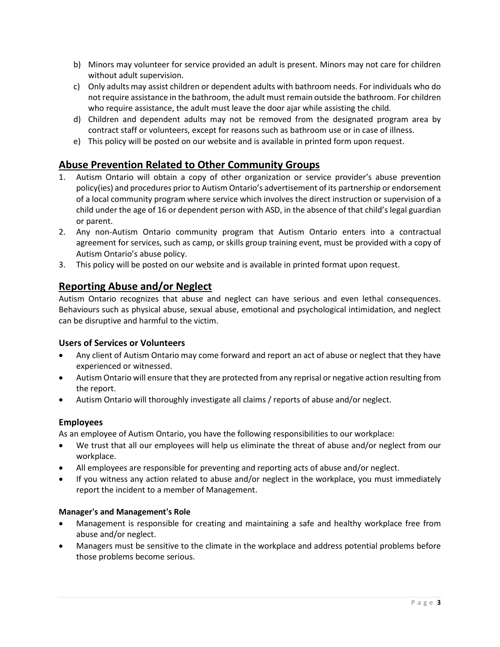- b) Minors may volunteer for service provided an adult is present. Minors may not care for children without adult supervision.
- c) Only adults may assist children or dependent adults with bathroom needs. For individuals who do not require assistance in the bathroom, the adult must remain outside the bathroom. For children who require assistance, the adult must leave the door ajar while assisting the child.
- d) Children and dependent adults may not be removed from the designated program area by contract staff or volunteers, except for reasons such as bathroom use or in case of illness.
- e) This policy will be posted on our website and is available in printed form upon request.

# **Abuse Prevention Related to Other Community Groups**

- 1. Autism Ontario will obtain a copy of other organization or service provider's abuse prevention policy(ies) and procedures prior to Autism Ontario's advertisement of its partnership or endorsement of a local community program where service which involves the direct instruction or supervision of a child under the age of 16 or dependent person with ASD, in the absence of that child's legal guardian or parent.
- 2. Any non-Autism Ontario community program that Autism Ontario enters into a contractual agreement for services, such as camp, or skills group training event, must be provided with a copy of Autism Ontario's abuse policy.
- 3. This policy will be posted on our website and is available in printed format upon request.

# **Reporting Abuse and/or Neglect**

Autism Ontario recognizes that abuse and neglect can have serious and even lethal consequences. Behaviours such as physical abuse, sexual abuse, emotional and psychological intimidation, and neglect can be disruptive and harmful to the victim.  

#### **Users of Services or Volunteers**

- Any client of Autism Ontario may come forward and report an act of abuse or neglect that they have experienced or witnessed.
- Autism Ontario will ensure that they are protected from any reprisal or negative action resulting from the report.
- Autism Ontario will thoroughly investigate all claims / reports of abuse and/or neglect.

#### **Employees**

As an employee of Autism Ontario, you have the following responsibilities to our workplace: 

- We trust that all our employees will help us eliminate the threat of abuse and/or neglect from our workplace.
- All employees are responsible for preventing and reporting acts of abuse and/or neglect.
- If you witness any action related to abuse and/or neglect in the workplace, you must immediately report the incident to a member of Management.

#### **Manager's and Management's Role**

- Management is responsible for creating and maintaining a safe and healthy workplace free from abuse and/or neglect.
- Managers must be sensitive to the climate in the workplace and address potential problems before those problems become serious.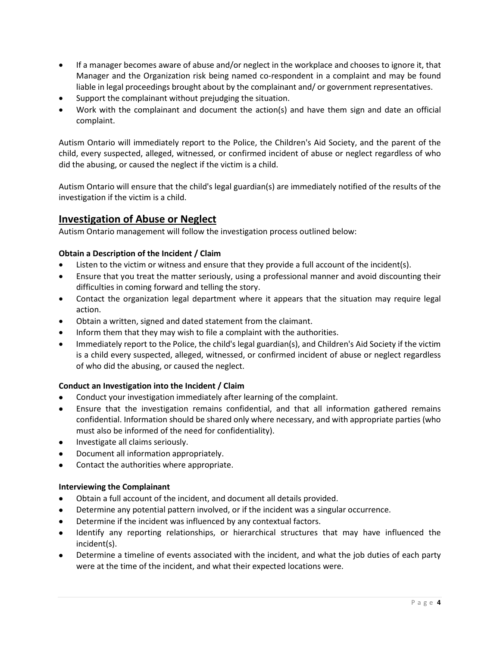- If a manager becomes aware of abuse and/or neglect in the workplace and chooses to ignore it, that Manager and the Organization risk being named co-respondent in a complaint and may be found liable in legal proceedings brought about by the complainant and/ or government representatives.
- Support the complainant without prejudging the situation.
- Work with the complainant and document the action(s) and have them sign and date an official complaint.

Autism Ontario will immediately report to the Police, the Children's Aid Society, and the parent of the child, every suspected, alleged, witnessed, or confirmed incident of abuse or neglect regardless of who did the abusing, or caused the neglect if the victim is a child. 

Autism Ontario will ensure that the child's legal guardian(s) are immediately notified of the results of the investigation if the victim is a child. 

# **Investigation of Abuse or Neglect**

Autism Ontario management will follow the investigation process outlined below: 

#### **Obtain a Description of the Incident / Claim**

- Listen to the victim or witness and ensure that they provide a full account of the incident(s).
- Ensure that you treat the matter seriously, using a professional manner and avoid discounting their difficulties in coming forward and telling the story.
- Contact the organization legal department where it appears that the situation may require legal action.
- Obtain a written, signed and dated statement from the claimant.
- Inform them that they may wish to file a complaint with the authorities.
- Immediately report to the Police, the child's legal guardian(s), and Children's Aid Society if the victim is a child every suspected, alleged, witnessed, or confirmed incident of abuse or neglect regardless of who did the abusing, or caused the neglect.

#### **Conduct an Investigation into the Incident / Claim**

- Conduct your investigation immediately after learning of the complaint.
- Ensure that the investigation remains confidential, and that all information gathered remains confidential. Information should be shared only where necessary, and with appropriate parties (who must also be informed of the need for confidentiality).
- Investigate all claims seriously.
- Document all information appropriately.
- Contact the authorities where appropriate.

#### **Interviewing the Complainant**

- Obtain a full account of the incident, and document all details provided.
- Determine any potential pattern involved, or if the incident was a singular occurrence.
- Determine if the incident was influenced by any contextual factors.
- Identify any reporting relationships, or hierarchical structures that may have influenced the incident(s).
- Determine a timeline of events associated with the incident, and what the job duties of each party were at the time of the incident, and what their expected locations were.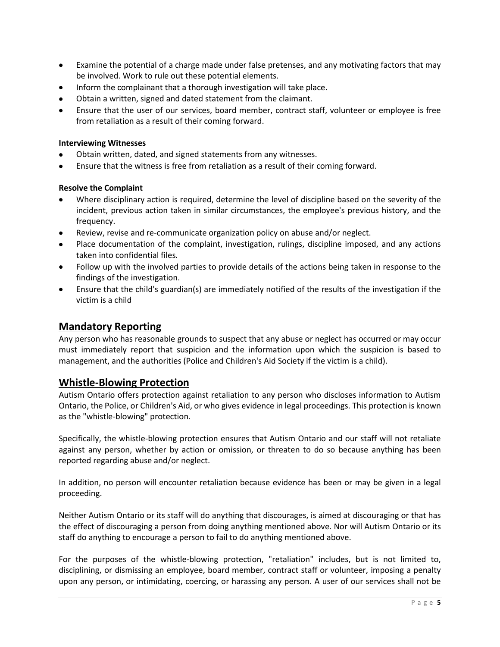- Examine the potential of a charge made under false pretenses, and any motivating factors that may be involved. Work to rule out these potential elements.
- Inform the complainant that a thorough investigation will take place.
- Obtain a written, signed and dated statement from the claimant.
- Ensure that the user of our services, board member, contract staff, volunteer or employee is free from retaliation as a result of their coming forward.

#### **Interviewing Witnesses**

- Obtain written, dated, and signed statements from any witnesses.
- Ensure that the witness is free from retaliation as a result of their coming forward.

#### **Resolve the Complaint**

- Where disciplinary action is required, determine the level of discipline based on the severity of the incident, previous action taken in similar circumstances, the employee's previous history, and the frequency.
- Review, revise and re-communicate organization policy on abuse and/or neglect.
- Place documentation of the complaint, investigation, rulings, discipline imposed, and any actions taken into confidential files.
- Follow up with the involved parties to provide details of the actions being taken in response to the findings of the investigation.
- Ensure that the child's guardian(s) are immediately notified of the results of the investigation if the victim is a child

# **Mandatory Reporting**

Any person who has reasonable grounds to suspect that any abuse or neglect has occurred or may occur must immediately report that suspicion and the information upon which the suspicion is based to management, and the authorities (Police and Children's Aid Society if the victim is a child).  

## **Whistle-Blowing Protection**

Autism Ontario offers protection against retaliation to any person who discloses information to Autism Ontario, the Police, or Children's Aid, or who gives evidence in legal proceedings. This protection is known as the "whistle-blowing" protection.  

Specifically, the whistle-blowing protection ensures that Autism Ontario and our staff will not retaliate against any person, whether by action or omission, or threaten to do so because anything has been reported regarding abuse and/or neglect.  

In addition, no person will encounter retaliation because evidence has been or may be given in a legal proceeding.  

Neither Autism Ontario or its staff will do anything that discourages, is aimed at discouraging or that has the effect of discouraging a person from doing anything mentioned above. Nor will Autism Ontario or its staff do anything to encourage a person to fail to do anything mentioned above.  

For the purposes of the whistle-blowing protection, "retaliation" includes, but is not limited to, disciplining, or dismissing an employee, board member, contract staff or volunteer, imposing a penalty upon any person, or intimidating, coercing, or harassing any person. A user of our services shall not be